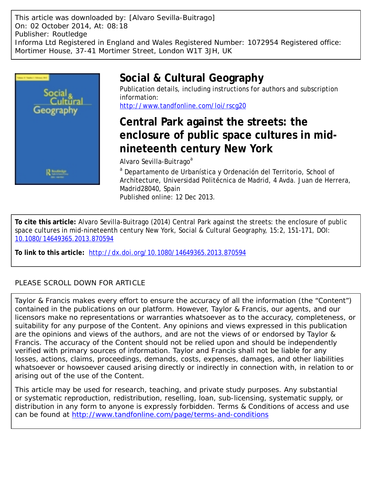This article was downloaded by: [Alvaro Sevilla-Buitrago] On: 02 October 2014, At: 08:18 Publisher: Routledge Informa Ltd Registered in England and Wales Registered Number: 1072954 Registered office: Mortimer House, 37-41 Mortimer Street, London W1T 3JH, UK



## **Social & Cultural Geography**

Publication details, including instructions for authors and subscription information:

<http://www.tandfonline.com/loi/rscg20>

# **Central Park against the streets: the enclosure of public space cultures in midnineteenth century New York**

Alvaro Sevilla-Buitrago<sup>a</sup>

<sup>a</sup> Departamento de Urbanística y Ordenación del Territorio, School of Architecture, Universidad Politécnica de Madrid, 4 Avda. Juan de Herrera, Madrid28040, Spain Published online: 12 Dec 2013.

**To cite this article:** Alvaro Sevilla-Buitrago (2014) Central Park against the streets: the enclosure of public space cultures in mid-nineteenth century New York, Social & Cultural Geography, 15:2, 151-171, DOI: [10.1080/14649365.2013.870594](http://www.tandfonline.com/action/showCitFormats?doi=10.1080/14649365.2013.870594)

**To link to this article:** <http://dx.doi.org/10.1080/14649365.2013.870594>

## PLEASE SCROLL DOWN FOR ARTICLE

Taylor & Francis makes every effort to ensure the accuracy of all the information (the "Content") contained in the publications on our platform. However, Taylor & Francis, our agents, and our licensors make no representations or warranties whatsoever as to the accuracy, completeness, or suitability for any purpose of the Content. Any opinions and views expressed in this publication are the opinions and views of the authors, and are not the views of or endorsed by Taylor & Francis. The accuracy of the Content should not be relied upon and should be independently verified with primary sources of information. Taylor and Francis shall not be liable for any losses, actions, claims, proceedings, demands, costs, expenses, damages, and other liabilities whatsoever or howsoever caused arising directly or indirectly in connection with, in relation to or arising out of the use of the Content.

This article may be used for research, teaching, and private study purposes. Any substantial or systematic reproduction, redistribution, reselling, loan, sub-licensing, systematic supply, or distribution in any form to anyone is expressly forbidden. Terms & Conditions of access and use can be found at <http://www.tandfonline.com/page/terms-and-conditions>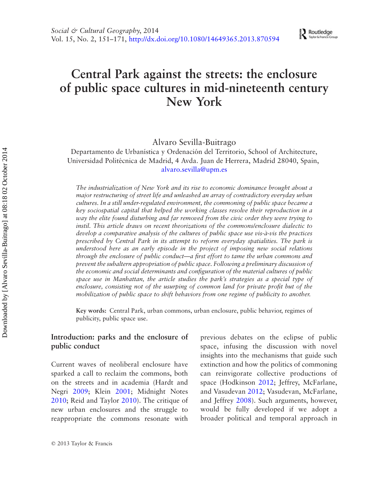# Central Park against the streets: the enclosure of public space cultures in mid-nineteenth century New York

Alvaro Sevilla-Buitrago

Departamento de Urbanística y Ordenación del Territorio, School of Architecture, Universidad Politécnica de Madrid, 4 Avda. Juan de Herrera, Madrid 28040, Spain, [alvaro.sevilla@upm.es](mailto:alvaro.sevilla@upm.es)

The industrialization of New York and its rise to economic dominance brought about a major restructuring of street life and unleashed an array of contradictory everyday urban cultures. In a still under-regulated environment, the commoning of public space became a key sociospatial capital that helped the working classes resolve their reproduction in a way the elite found disturbing and far removed from the civic order they were trying to instil. This article draws on recent theorizations of the commons/enclosure dialectic to develop a comparative analysis of the cultures of public space use vis-à-vis the practices prescribed by Central Park in its attempt to reform everyday spatialities. The park is understood here as an early episode in the project of imposing new social relations through the enclosure of public conduct—a first effort to tame the urban commons and prevent the subaltern appropriation of public space. Following a preliminary discussion of the economic and social determinants and configuration of the material cultures of public space use in Manhattan, the article studies the park's strategies as a special type of enclosure, consisting not of the usurping of common land for private profit but of the mobilization of public space to shift behaviors from one regime of publicity to another.

Key words: Central Park, urban commons, urban enclosure, public behavior, regimes of publicity, public space use.

### Introduction: parks and the enclosure of public conduct

Current waves of neoliberal enclosure have sparked a call to reclaim the commons, both on the streets and in academia (Hardt and Negri [2009](#page-19-0); Klein [2001](#page-19-1); Midnight Notes [2010;](#page-19-2) Reid and Taylor [2010](#page-20-0)). The critique of new urban enclosures and the struggle to reappropriate the commons resonate with previous debates on the eclipse of public space, infusing the discussion with novel insights into the mechanisms that guide such extinction and how the politics of commoning can reinvigorate collective productions of space (Hodkinson [2012;](#page-19-3) Jeffrey, McFarlane, and Vasudevan [2012](#page-19-4); Vasudevan, McFarlane, and Jeffrey [2008\)](#page-20-1). Such arguments, however, would be fully developed if we adopt a broader political and temporal approach in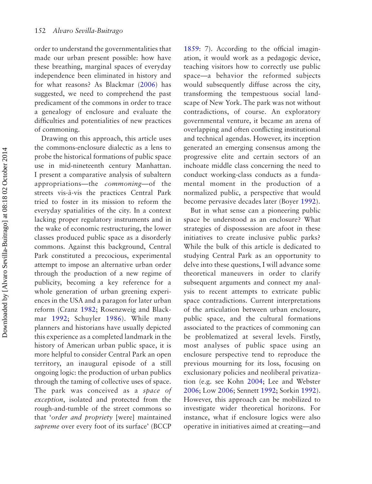order to understand the governmentalities that made our urban present possible: how have these breathing, marginal spaces of everyday independence been eliminated in history and for what reasons? As Blackmar ([2006\)](#page-18-0) has suggested, we need to comprehend the past predicament of the commons in order to trace a genealogy of enclosure and evaluate the difficulties and potentialities of new practices of commoning.

Drawing on this approach, this article uses the commons-enclosure dialectic as a lens to probe the historical formations of public space use in mid-nineteenth century Manhattan. I present a comparative analysis of subaltern appropriations—the commoning—of the streets vis-a`-vis the practices Central Park tried to foster in its mission to reform the everyday spatialities of the city. In a context lacking proper regulatory instruments and in the wake of economic restructuring, the lower classes produced public space as a disorderly commons. Against this background, Central Park constituted a precocious, experimental attempt to impose an alternative urban order through the production of a new regime of publicity, becoming a key reference for a whole generation of urban greening experiences in the USA and a paragon for later urban reform (Cranz [1982](#page-18-1); Rosenzweig and Blackmar [1992](#page-20-2); Schuyler [1986](#page-20-3)). While many planners and historians have usually depicted this experience as a completed landmark in the history of American urban public space, it is more helpful to consider Central Park an open territory, an inaugural episode of a still ongoing logic: the production of urban publics through the taming of collective uses of space. The park was conceived as a *space* of exception, isolated and protected from the rough-and-tumble of the street commons so that 'order and propriety [were] maintained supreme over every foot of its surface' (BCCP

[1859:](#page-18-2) 7). According to the official imagination, it would work as a pedagogic device, teaching visitors how to correctly use public space—a behavior the reformed subjects would subsequently diffuse across the city, transforming the tempestuous social landscape of New York. The park was not without contradictions, of course. An exploratory governmental venture, it became an arena of overlapping and often conflicting institutional and technical agendas. However, its inception generated an emerging consensus among the progressive elite and certain sectors of an inchoate middle class concerning the need to conduct working-class conducts as a fundamental moment in the production of a normalized public, a perspective that would become pervasive decades later (Boyer [1992](#page-18-3)).

But in what sense can a pioneering public space be understood as an enclosure? What strategies of dispossession are afoot in these initiatives to create inclusive public parks? While the bulk of this article is dedicated to studying Central Park as an opportunity to delve into these questions, I will advance some theoretical maneuvers in order to clarify subsequent arguments and connect my analysis to recent attempts to extricate public space contradictions. Current interpretations of the articulation between urban enclosure, public space, and the cultural formations associated to the practices of commoning can be problematized at several levels. Firstly, most analyses of public space using an enclosure perspective tend to reproduce the previous mourning for its loss, focusing on exclusionary policies and neoliberal privatization (e.g. see Kohn [2004;](#page-19-5) Lee and Webster [2006;](#page-19-6) Low [2006](#page-19-7); Sennett [1992;](#page-20-4) Sorkin [1992\)](#page-20-5). However, this approach can be mobilized to investigate wider theoretical horizons. For instance, what if enclosure logics were also operative in initiatives aimed at creating—and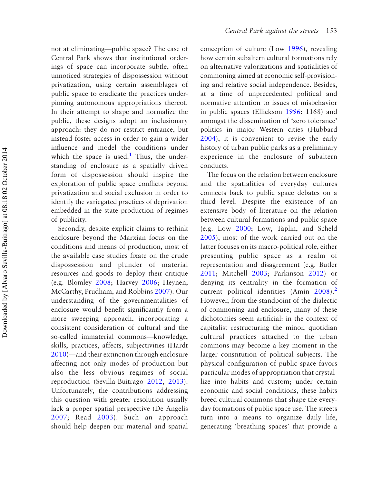not at eliminating—public space? The case of Central Park shows that institutional orderings of space can incorporate subtle, often unnoticed strategies of dispossession without privatization, using certain assemblages of public space to eradicate the practices underpinning autonomous appropriations thereof. In their attempt to shape and normalize the public, these designs adopt an inclusionary approach: they do not restrict entrance, but instead foster access in order to gain a wider influence and model the conditions under which the space is used.<sup>[1](#page-17-0)</sup> Thus, the understanding of enclosure as a spatially driven form of dispossession should inspire the exploration of public space conflicts beyond privatization and social exclusion in order to identify the variegated practices of deprivation embedded in the state production of regimes of publicity.

Secondly, despite explicit claims to rethink enclosure beyond the Marxian focus on the conditions and means of production, most of the available case studies fixate on the crude dispossession and plunder of material resources and goods to deploy their critique (e.g. Blomley [2008;](#page-18-4) Harvey [2006;](#page-19-8) Heynen, McCarthy, Prudham, and Robbins [2007\)](#page-19-9). Our understanding of the governmentalities of enclosure would benefit significantly from a more sweeping approach, incorporating a consistent consideration of cultural and the so-called immaterial commons—knowledge, skills, practices, affects, subjectivities (Hardt [2010\)](#page-19-10)—and their extinction through enclosure affecting not only modes of production but also the less obvious regimes of social reproduction (Sevilla-Buitrago [2012](#page-20-6), [2013\)](#page-20-7). Unfortunately, the contributions addressing this question with greater resolution usually lack a proper spatial perspective (De Angelis [2007;](#page-18-5) Read [2003\)](#page-20-8). Such an approach should help deepen our material and spatial conception of culture (Low [1996\)](#page-19-11), revealing how certain subaltern cultural formations rely on alternative valorizations and spatialities of commoning aimed at economic self-provisioning and relative social independence. Besides, at a time of unprecedented political and normative attention to issues of misbehavior in public spaces (Ellickson [1996](#page-19-12): 1168) and amongst the dissemination of 'zero tolerance' politics in major Western cities (Hubbard [2004\)](#page-19-13), it is convenient to revise the early history of urban public parks as a preliminary experience in the enclosure of subaltern conducts.

The focus on the relation between enclosure and the spatialities of everyday cultures connects back to public space debates on a third level. Despite the existence of an extensive body of literature on the relation between cultural formations and public space (e.g. Low [2000;](#page-19-14) Low, Taplin, and Scheld [2005\)](#page-19-15), most of the work carried out on the latter focuses on its macro-political role, either presenting public space as a realm of representation and disagreement (e.g. Butler [2011;](#page-18-6) Mitchell [2003](#page-19-16); Parkinson [2012\)](#page-20-9) or denying its centrality in the formation of current political identities (Amin  $2008$  $2008$ ).<sup>2</sup> However, from the standpoint of the dialectic of commoning and enclosure, many of these dichotomies seem artificial: in the context of capitalist restructuring the minor, quotidian cultural practices attached to the urban commons may become a key moment in the larger constitution of political subjects. The physical configuration of public space favors particular modes of appropriation that crystallize into habits and custom; under certain economic and social conditions, these habits breed cultural commons that shape the everyday formations of public space use. The streets turn into a means to organize daily life, generating 'breathing spaces' that provide a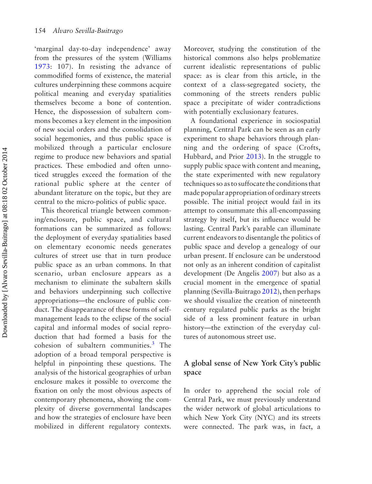'marginal day-to-day independence' away from the pressures of the system (Williams [1973](#page-20-10): 107). In resisting the advance of commodified forms of existence, the material cultures underpinning these commons acquire political meaning and everyday spatialities themselves become a bone of contention. Hence, the dispossession of subaltern commons becomes a key element in the imposition of new social orders and the consolidation of social hegemonies, and thus public space is mobilized through a particular enclosure regime to produce new behaviors and spatial practices. These embodied and often unnoticed struggles exceed the formation of the rational public sphere at the center of abundant literature on the topic, but they are central to the micro-politics of public space.

This theoretical triangle between commoning/enclosure, public space, and cultural formations can be summarized as follows: the deployment of everyday spatialities based on elementary economic needs generates cultures of street use that in turn produce public space as an urban commons. In that scenario, urban enclosure appears as a mechanism to eliminate the subaltern skills and behaviors underpinning such collective appropriations—the enclosure of public conduct. The disappearance of these forms of selfmanagement leads to the eclipse of the social capital and informal modes of social reproduction that had formed a basis for the cohesion of subaltern communities. $3$  The adoption of a broad temporal perspective is helpful in pinpointing these questions. The analysis of the historical geographies of urban enclosure makes it possible to overcome the fixation on only the most obvious aspects of contemporary phenomena, showing the complexity of diverse governmental landscapes and how the strategies of enclosure have been mobilized in different regulatory contexts.

Moreover, studying the constitution of the historical commons also helps problematize current idealistic representations of public space: as is clear from this article, in the context of a class-segregated society, the commoning of the streets renders public space a precipitate of wider contradictions with potentially exclusionary features.

A foundational experience in sociospatial planning, Central Park can be seen as an early experiment to shape behaviors through planning and the ordering of space (Crofts, Hubbard, and Prior [2013](#page-18-8)). In the struggle to supply public space with content and meaning, the state experimented with new regulatory techniques so as to suffocate the conditions that made popular appropriation of ordinary streets possible. The initial project would fail in its attempt to consummate this all-encompassing strategy by itself, but its influence would be lasting. Central Park's parable can illuminate current endeavors to disentangle the politics of public space and develop a genealogy of our urban present. If enclosure can be understood not only as an inherent condition of capitalist development (De Angelis [2007](#page-18-5)) but also as a crucial moment in the emergence of spatial planning (Sevilla-Buitrago [2012\)](#page-20-6), then perhaps we should visualize the creation of nineteenth century regulated public parks as the bright side of a less prominent feature in urban history—the extinction of the everyday cultures of autonomous street use.

## A global sense of New York City's public space

In order to apprehend the social role of Central Park, we must previously understand the wider network of global articulations to which New York City (NYC) and its streets were connected. The park was, in fact, a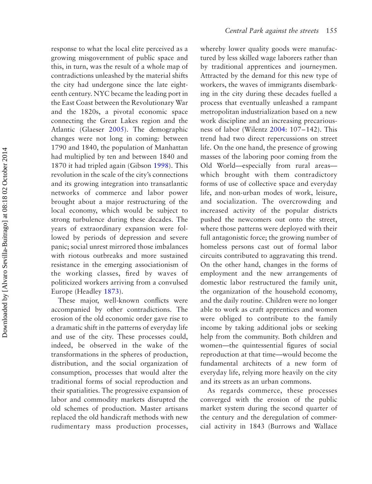response to what the local elite perceived as a growing misgovernment of public space and this, in turn, was the result of a whole map of contradictions unleashed by the material shifts the city had undergone since the late eighteenth century. NYC became the leading port in the East Coast between the Revolutionary War and the 1820s, a pivotal economic space connecting the Great Lakes region and the Atlantic (Glaeser [2005\)](#page-19-17). The demographic changes were not long in coming: between 1790 and 1840, the population of Manhattan had multiplied by ten and between 1840 and 1870 it had tripled again (Gibson [1998](#page-19-18)). This revolution in the scale of the city's connections and its growing integration into transatlantic networks of commerce and labor power brought about a major restructuring of the local economy, which would be subject to strong turbulence during these decades. The years of extraordinary expansion were followed by periods of depression and severe panic; social unrest mirrored those imbalances with riotous outbreaks and more sustained resistance in the emerging associationism of the working classes, fired by waves of politicized workers arriving from a convulsed Europe (Headley [1873\)](#page-19-19).

These major, well-known conflicts were accompanied by other contradictions. The erosion of the old economic order gave rise to a dramatic shift in the patterns of everyday life and use of the city. These processes could, indeed, be observed in the wake of the transformations in the spheres of production, distribution, and the social organization of consumption, processes that would alter the traditional forms of social reproduction and their spatialities. The progressive expansion of labor and commodity markets disrupted the old schemes of production. Master artisans replaced the old handicraft methods with new rudimentary mass production processes, whereby lower quality goods were manufactured by less skilled wage laborers rather than by traditional apprentices and journeymen. Attracted by the demand for this new type of workers, the waves of immigrants disembarking in the city during these decades fuelled a process that eventually unleashed a rampant metropolitan industrialization based on a new work discipline and an increasing precarious-ness of labor (Wilentz [2004](#page-20-11): 107-142). This trend had two direct repercussions on street life. On the one hand, the presence of growing masses of the laboring poor coming from the Old World—especially from rural areas which brought with them contradictory forms of use of collective space and everyday life, and non-urban modes of work, leisure, and socialization. The overcrowding and increased activity of the popular districts pushed the newcomers out onto the street, where those patterns were deployed with their full antagonistic force; the growing number of homeless persons cast out of formal labor circuits contributed to aggravating this trend. On the other hand, changes in the forms of employment and the new arrangements of domestic labor restructured the family unit, the organization of the household economy, and the daily routine. Children were no longer able to work as craft apprentices and women were obliged to contribute to the family income by taking additional jobs or seeking help from the community. Both children and women—the quintessential figures of social reproduction at that time—would become the fundamental architects of a new form of everyday life, relying more heavily on the city and its streets as an urban commons.

As regards commerce, these processes converged with the erosion of the public market system during the second quarter of the century and the deregulation of commercial activity in 1843 (Burrows and Wallace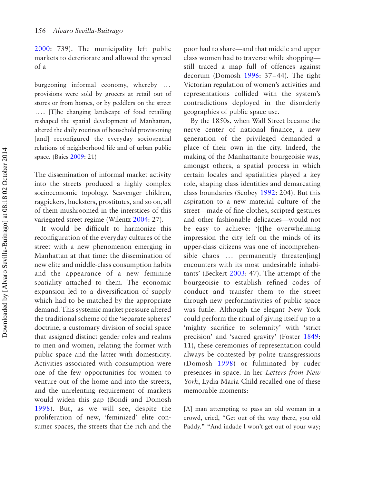[2000](#page-18-9): 739). The municipality left public markets to deteriorate and allowed the spread of a

burgeoning informal economy, whereby ... provisions were sold by grocers at retail out of stores or from homes, or by peddlers on the street .... [T]he changing landscape of food retailing reshaped the spatial development of Manhattan, altered the daily routines of household provisioning [and] reconfigured the everyday sociospatial relations of neighborhood life and of urban public space. (Baics [2009](#page-18-10): 21)

The dissemination of informal market activity into the streets produced a highly complex socioeconomic topology. Scavenger children, ragpickers, hucksters, prostitutes, and so on, all of them mushroomed in the interstices of this variegated street regime (Wilentz [2004](#page-20-11): 27).

It would be difficult to harmonize this reconfiguration of the everyday cultures of the street with a new phenomenon emerging in Manhattan at that time: the dissemination of new elite and middle-class consumption habits and the appearance of a new feminine spatiality attached to them. The economic expansion led to a diversification of supply which had to be matched by the appropriate demand. This systemic market pressure altered the traditional scheme of the 'separate spheres' doctrine, a customary division of social space that assigned distinct gender roles and realms to men and women, relating the former with public space and the latter with domesticity. Activities associated with consumption were one of the few opportunities for women to venture out of the home and into the streets, and the unrelenting requirement of markets would widen this gap (Bondi and Domosh [1998](#page-18-11)). But, as we will see, despite the proliferation of new, 'feminized' elite consumer spaces, the streets that the rich and the

poor had to share—and that middle and upper class women had to traverse while shopping still traced a map full of offences against decorum (Domosh [1996:](#page-18-12) 37–44). The tight Victorian regulation of women's activities and representations collided with the system's contradictions deployed in the disorderly geographies of public space use.

By the 1850s, when Wall Street became the nerve center of national finance, a new generation of the privileged demanded a place of their own in the city. Indeed, the making of the Manhattanite bourgeoisie was, amongst others, a spatial process in which certain locales and spatialities played a key role, shaping class identities and demarcating class boundaries (Scobey [1992:](#page-20-12) 204). But this aspiration to a new material culture of the street—made of fine clothes, scripted gestures and other fashionable delicacies—would not be easy to achieve: '[t]he overwhelming impression the city left on the minds of its upper-class citizens was one of incomprehensible chaos ... permanently threaten[ing] encounters with its most undesirable inhabitants' (Beckert [2003](#page-18-13): 47). The attempt of the bourgeoisie to establish refined codes of conduct and transfer them to the street through new performativities of public space was futile. Although the elegant New York could perform the ritual of giving itself up to a 'mighty sacrifice to solemnity' with 'strict precision' and 'sacred gravity' (Foster [1849](#page-19-20): 11), these ceremonies of representation could always be contested by polite transgressions (Domosh [1998](#page-18-14)) or fulminated by ruder presences in space. In her Letters from New York, Lydia Maria Child recalled one of these memorable moments:

[A] man attempting to pass an old woman in a crowd, cried, "Get out of the way there, you old Paddy." "And indade I won't get out of your way;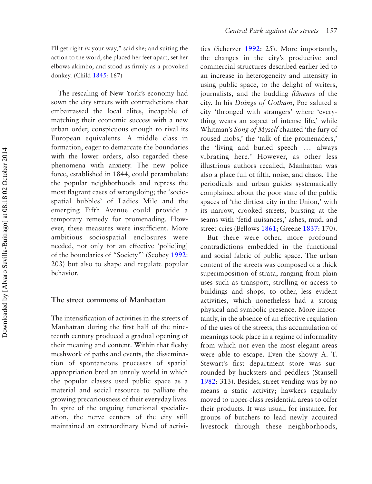sown the city streets with contradictions that embarrassed the local elites, incapable of

donkey. (Child [1845](#page-18-15): 167)

matching their economic success with a new urban order, conspicuous enough to rival its European equivalents. A middle class in formation, eager to demarcate the boundaries with the lower orders, also regarded these phenomena with anxiety. The new police force, established in 1844, could perambulate the popular neighborhoods and repress the most flagrant cases of wrongdoing; the 'sociospatial bubbles' of Ladies Mile and the emerging Fifth Avenue could provide a temporary remedy for promenading. However, these measures were insufficient. More ambitious sociospatial enclosures were needed, not only for an effective 'polic[ing] of the boundaries of "Society"' (Scobey [1992](#page-20-12): 203) but also to shape and regulate popular behavior.

I'll get right in your way," said she; and suiting the action to the word, she placed her feet apart, set her elbows akimbo, and stood as firmly as a provoked

The rescaling of New York's economy had

#### The street commons of Manhattan

The intensification of activities in the streets of Manhattan during the first half of the nineteenth century produced a gradual opening of their meaning and content. Within that fleshy meshwork of paths and events, the dissemination of spontaneous processes of spatial appropriation bred an unruly world in which the popular classes used public space as a material and social resource to palliate the growing precariousness of their everyday lives. In spite of the ongoing functional specialization, the nerve centers of the city still maintained an extraordinary blend of activities (Scherzer [1992:](#page-20-13) 25). More importantly, the changes in the city's productive and commercial structures described earlier led to an increase in heterogeneity and intensity in using public space, to the delight of writers, journalists, and the budding *flâneurs* of the city. In his Doings of Gotham, Poe saluted a city 'thronged with strangers' where 'everything wears an aspect of intense life,' while Whitman's Song of Myself chanted 'the fury of roused mobs,' the 'talk of the promenaders,' the 'living and buried speech ... always vibrating here.' However, as other less illustrious authors recalled, Manhattan was also a place full of filth, noise, and chaos. The periodicals and urban guides systematically complained about the poor state of the public spaces of 'the dirtiest city in the Union,' with its narrow, crooked streets, bursting at the seams with 'fetid nuisances,' ashes, mud, and street-cries (Bellows [1861](#page-18-16); Greene [1837](#page-19-21): 170).

But there were other, more profound contradictions embedded in the functional and social fabric of public space. The urban content of the streets was composed of a thick superimposition of strata, ranging from plain uses such as transport, strolling or access to buildings and shops, to other, less evident activities, which nonetheless had a strong physical and symbolic presence. More importantly, in the absence of an effective regulation of the uses of the streets, this accumulation of meanings took place in a regime of informality from which not even the most elegant areas were able to escape. Even the showy A. T. Stewart's first department store was surrounded by hucksters and peddlers (Stansell [1982:](#page-20-14) 313). Besides, street vending was by no means a static activity; hawkers regularly moved to upper-class residential areas to offer their products. It was usual, for instance, for groups of butchers to lead newly acquired livestock through these neighborhoods,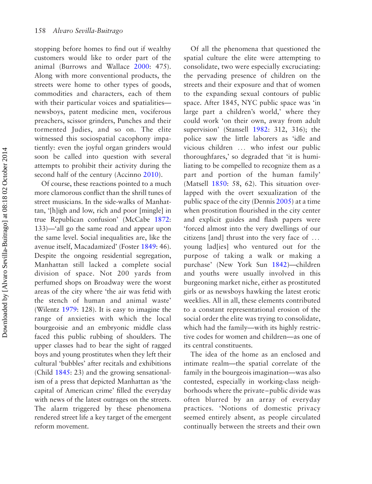stopping before homes to find out if wealthy customers would like to order part of the animal (Burrows and Wallace [2000](#page-18-9): 475). Along with more conventional products, the streets were home to other types of goods, commodities and characters, each of them with their particular voices and spatialities newsboys, patent medicine men, vociferous preachers, scissor grinders, Punches and their tormented Judies, and so on. The elite witnessed this sociospatial cacophony impatiently: even the joyful organ grinders would soon be called into question with several attempts to prohibit their activity during the second half of the century (Accinno [2010\)](#page-18-17).

Of course, these reactions pointed to a much more clamorous conflict than the shrill tunes of street musicians. In the side-walks of Manhattan, '[h]igh and low, rich and poor [mingle] in true Republican confusion' (McCabe [1872](#page-19-22): 133)—'all go the same road and appear upon the same level. Social inequalities are, like the avenue itself, Macadamized' (Foster [1849:](#page-19-20) 46). Despite the ongoing residential segregation, Manhattan still lacked a complete social division of space. Not 200 yards from perfumed shops on Broadway were the worst areas of the city where 'the air was fetid with the stench of human and animal waste' (Wilentz [1979:](#page-20-15) 128). It is easy to imagine the range of anxieties with which the local bourgeoisie and an embryonic middle class faced this public rubbing of shoulders. The upper classes had to bear the sight of ragged boys and young prostitutes when they left their cultural 'bubbles' after recitals and exhibitions (Child [1845:](#page-18-15) 23) and the growing sensationalism of a press that depicted Manhattan as 'the capital of American crime' filled the everyday with news of the latest outrages on the streets. The alarm triggered by these phenomena rendered street life a key target of the emergent reform movement.

Of all the phenomena that questioned the spatial culture the elite were attempting to consolidate, two were especially excruciating: the pervading presence of children on the streets and their exposure and that of women to the expanding sexual contours of public space. After 1845, NYC public space was 'in large part a children's world,' where they could work 'on their own, away from adult supervision' (Stansell [1982](#page-20-14): 312, 316); the police saw the little laborers as 'idle and vicious children ... who infest our public thoroughfares,' so degraded that 'it is humiliating to be compelled to recognize them as a part and portion of the human family' (Matsell [1850](#page-19-23): 58, 62). This situation overlapped with the overt sexualization of the public space of the city (Dennis [2005](#page-18-18)) at a time when prostitution flourished in the city center and explicit guides and flash papers were 'forced almost into the very dwellings of our citizens [and] thrust into the very face of ... young lad[ies] who ventured out for the purpose of taking a walk or making a purchase' (New York Sun [1842\)](#page-19-24)—children and youths were usually involved in this burgeoning market niche, either as prostituted girls or as newsboys hawking the latest erotic weeklies. All in all, these elements contributed to a constant representational erosion of the social order the elite was trying to consolidate, which had the family—with its highly restrictive codes for women and children—as one of its central constituents.

The idea of the home as an enclosed and intimate realm—the spatial correlate of the family in the bourgeois imagination—was also contested, especially in working-class neighborhoods where the private –public divide was often blurred by an array of everyday practices. 'Notions of domestic privacy seemed entirely absent, as people circulated continually between the streets and their own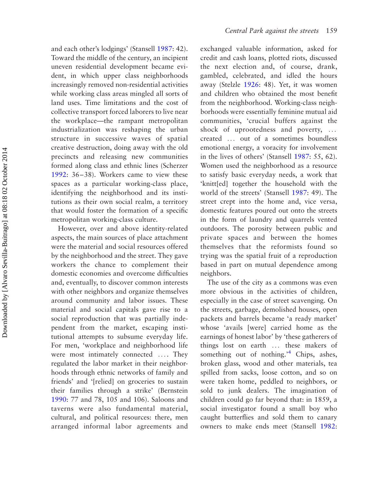and each other's lodgings' (Stansell [1987](#page-20-16): 42). Toward the middle of the century, an incipient uneven residential development became evident, in which upper class neighborhoods increasingly removed non-residential activities while working class areas mingled all sorts of land uses. Time limitations and the cost of collective transport forced laborers to live near the workplace—the rampant metropolitan industrialization was reshaping the urban structure in successive waves of spatial creative destruction, doing away with the old precincts and releasing new communities formed along class and ethnic lines (Scherzer [1992:](#page-20-13) 36–38). Workers came to view these spaces as a particular working-class place, identifying the neighborhood and its institutions as their own social realm, a territory that would foster the formation of a specific metropolitan working-class culture.

However, over and above identity-related aspects, the main sources of place attachment were the material and social resources offered by the neighborhood and the street. They gave workers the chance to complement their domestic economies and overcome difficulties and, eventually, to discover common interests with other neighbors and organize themselves around community and labor issues. These material and social capitals gave rise to a social reproduction that was partially independent from the market, escaping institutional attempts to subsume everyday life. For men, 'workplace and neighborhood life were most intimately connected ... . They regulated the labor market in their neighborhoods through ethnic networks of family and friends' and '[relied] on groceries to sustain their families through a strike' (Bernstein [1990:](#page-18-19) 77 and 78, 105 and 106). Saloons and taverns were also fundamental material, cultural, and political resources: there, men arranged informal labor agreements and exchanged valuable information, asked for credit and cash loans, plotted riots, discussed the next election and, of course, drank, gambled, celebrated, and idled the hours away (Stelzle [1926](#page-20-17): 48). Yet, it was women and children who obtained the most benefit from the neighborhood. Working-class neighborhoods were essentially feminine mutual aid communities, 'crucial buffers against the shock of uprootedness and poverty, ... created ... out of a sometimes boundless emotional energy, a voracity for involvement in the lives of others' (Stansell [1987:](#page-20-16) 55, 62). Women used the neighborhood as a resource to satisfy basic everyday needs, a work that 'knitt[ed] together the household with the world of the streets' (Stansell [1987](#page-20-16): 49). The street crept into the home and, vice versa, domestic features poured out onto the streets in the form of laundry and quarrels vented outdoors. The porosity between public and private spaces and between the homes themselves that the reformists found so trying was the spatial fruit of a reproduction based in part on mutual dependence among neighbors.

The use of the city as a commons was even more obvious in the activities of children, especially in the case of street scavenging. On the streets, garbage, demolished houses, open packets and barrels became 'a ready market' whose 'avails [were] carried home as the earnings of honest labor' by 'these gatherers of things lost on earth ... these makers of something out of nothing.<sup>[4](#page-17-3)</sup> Chips, ashes, broken glass, wood and other materials, tea spilled from sacks, loose cotton, and so on were taken home, peddled to neighbors, or sold to junk dealers. The imagination of children could go far beyond that: in 1859, a social investigator found a small boy who caught butterflies and sold them to canary owners to make ends meet (Stansell [1982](#page-20-14):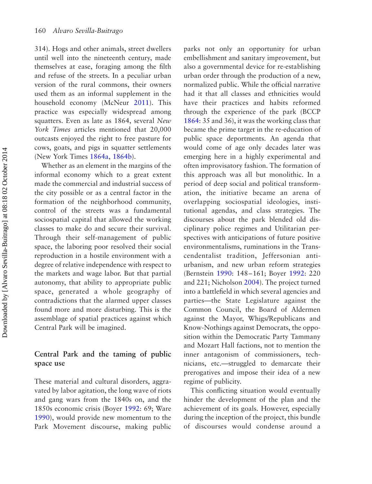314). Hogs and other animals, street dwellers until well into the nineteenth century, made themselves at ease, foraging among the filth and refuse of the streets. In a peculiar urban version of the rural commons, their owners used them as an informal supplement in the household economy (McNeur [2011](#page-19-25)). This practice was especially widespread among squatters. Even as late as 1864, several New York Times articles mentioned that 20,000 outcasts enjoyed the right to free pasture for cows, goats, and pigs in squatter settlements (New York Times [1864a,](#page-19-26) [1864b\)](#page-19-27).

Whether as an element in the margins of the informal economy which to a great extent made the commercial and industrial success of the city possible or as a central factor in the formation of the neighborhood community, control of the streets was a fundamental sociospatial capital that allowed the working classes to make do and secure their survival. Through their self-management of public space, the laboring poor resolved their social reproduction in a hostile environment with a degree of relative independence with respect to the markets and wage labor. But that partial autonomy, that ability to appropriate public space, generated a whole geography of contradictions that the alarmed upper classes found more and more disturbing. This is the assemblage of spatial practices against which Central Park will be imagined.

### Central Park and the taming of public space use

These material and cultural disorders, aggravated by labor agitation, the long wave of riots and gang wars from the 1840s on, and the 1850s economic crisis (Boyer [1992](#page-18-3): 69; Ware [1990\)](#page-20-18), would provide new momentum to the Park Movement discourse, making public

parks not only an opportunity for urban embellishment and sanitary improvement, but also a governmental device for re-establishing urban order through the production of a new, normalized public. While the official narrative had it that all classes and ethnicities would have their practices and habits reformed through the experience of the park (BCCP [1864:](#page-18-20) 35 and 36), it was the working class that became the prime target in the re-education of public space deportments. An agenda that would come of age only decades later was emerging here in a highly experimental and often improvisatory fashion. The formation of this approach was all but monolithic. In a period of deep social and political transformation, the initiative became an arena of overlapping sociospatial ideologies, institutional agendas, and class strategies. The discourses about the park blended old disciplinary police regimes and Utilitarian perspectives with anticipations of future positive environmentalisms, ruminations in the Transcendentalist tradition, Jeffersonian antiurbanism, and new urban reform strategies (Bernstein [1990](#page-18-19): 148 –161; Boyer [1992:](#page-18-3) 220 and 221; Nicholson [2004\)](#page-19-28). The project turned into a battlefield in which several agencies and parties—the State Legislature against the Common Council, the Board of Aldermen against the Mayor, Whigs/Republicans and Know-Nothings against Democrats, the opposition within the Democratic Party Tammany and Mozart Hall factions, not to mention the inner antagonism of commissioners, technicians, etc.—struggled to demarcate their prerogatives and impose their idea of a new regime of publicity.

This conflicting situation would eventually hinder the development of the plan and the achievement of its goals. However, especially during the inception of the project, this bundle of discourses would condense around a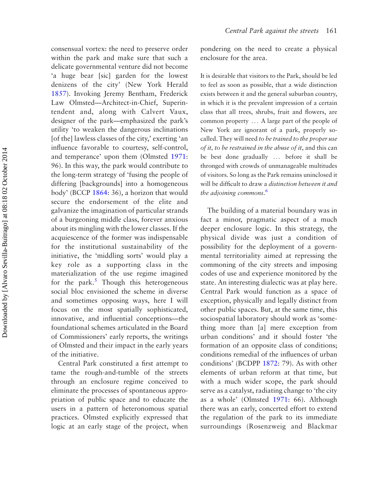consensual vortex: the need to preserve order within the park and make sure that such a delicate governmental venture did not become 'a huge bear [sic] garden for the lowest denizens of the city' (New York Herald [1857\)](#page-19-29). Invoking Jeremy Bentham, Frederick Law Olmsted—Architect-in-Chief, Superintendent and, along with Calvert Vaux, designer of the park—emphasized the park's utility 'to weaken the dangerous inclinations [of the] lawless classes of the city,' exerting 'an influence favorable to courtesy, self-control, and temperance' upon them (Olmsted [1971](#page-20-19): 96). In this way, the park would contribute to the long-term strategy of 'fusing the people of differing [backgrounds] into a homogeneous body' (BCCP [1864:](#page-18-20) 36), a horizon that would secure the endorsement of the elite and galvanize the imagination of particular strands of a burgeoning middle class, forever anxious about its mingling with the lower classes. If the acquiescence of the former was indispensable for the institutional sustainability of the initiative, the 'middling sorts' would play a key role as a supporting class in the materialization of the use regime imagined for the park.<sup>[5](#page-17-4)</sup> Though this heterogeneous social bloc envisioned the scheme in diverse and sometimes opposing ways, here I will focus on the most spatially sophisticated, innovative, and influential conceptions—the foundational schemes articulated in the Board of Commissioners' early reports, the writings of Olmsted and their impact in the early years of the initiative.

Central Park constituted a first attempt to tame the rough-and-tumble of the streets through an enclosure regime conceived to eliminate the processes of spontaneous appropriation of public space and to educate the users in a pattern of heteronomous spatial practices. Olmsted explicitly expressed that logic at an early stage of the project, when pondering on the need to create a physical enclosure for the area.

It is desirable that visitors to the Park, should be led to feel as soon as possible, that a wide distinction exists between it and the general suburban country, in which it is the prevalent impression of a certain class that all trees, shrubs, fruit and flowers, are common property ... A large part of the people of New York are ignorant of a park, properly socalled. They will need to be trained to the proper use of it, to be restrained in the abuse of it, and this can be best done gradually ... before it shall be thronged with crowds of unmanageable multitudes of visitors. So long as the Park remains uninclosed it will be difficult to draw a distinction between it and the adjoining commons.<sup>[6](#page-18-21)</sup>

The building of a material boundary was in fact a minor, pragmatic aspect of a much deeper enclosure logic. In this strategy, the physical divide was just a condition of possibility for the deployment of a governmental territoriality aimed at repressing the commoning of the city streets and imposing codes of use and experience monitored by the state. An interesting dialectic was at play here. Central Park would function as a space of exception, physically and legally distinct from other public spaces. But, at the same time, this sociospatial laboratory should work as 'something more than [a] mere exception from urban conditions' and it should foster 'the formation of an opposite class of conditions; conditions remedial of the influences of urban conditions' (BCDPP [1872](#page-18-22): 79). As with other elements of urban reform at that time, but with a much wider scope, the park should serve as a catalyst, radiating change to 'the city as a whole' (Olmsted [1971](#page-20-19): 66). Although there was an early, concerted effort to extend the regulation of the park to its immediate surroundings (Rosenzweig and Blackmar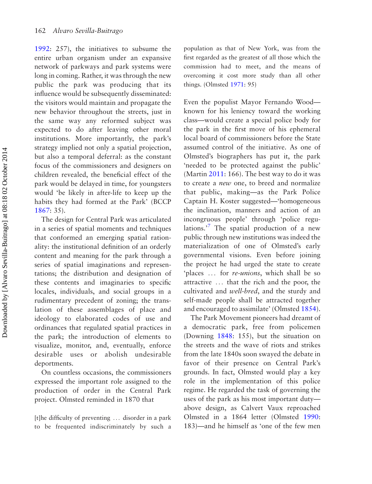[1992:](#page-20-2) 257), the initiatives to subsume the entire urban organism under an expansive network of parkways and park systems were long in coming. Rather, it was through the new public the park was producing that its influence would be subsequently disseminated: the visitors would maintain and propagate the new behavior throughout the streets, just in the same way any reformed subject was expected to do after leaving other moral institutions. More importantly, the park's strategy implied not only a spatial projection, but also a temporal deferral: as the constant focus of the commissioners and designers on children revealed, the beneficial effect of the park would be delayed in time, for youngsters would 'be likely in after-life to keep up the habits they had formed at the Park' (BCCP [1867:](#page-18-23) 35).

The design for Central Park was articulated in a series of spatial moments and techniques that conformed an emerging spatial rationality: the institutional definition of an orderly content and meaning for the park through a series of spatial imaginations and representations; the distribution and designation of these contents and imaginaries to specific locales, individuals, and social groups in a rudimentary precedent of zoning; the translation of these assemblages of place and ideology to elaborated codes of use and ordinances that regulated spatial practices in the park; the introduction of elements to visualize, monitor, and, eventually, enforce desirable uses or abolish undesirable deportments.

On countless occasions, the commissioners expressed the important role assigned to the production of order in the Central Park project. Olmsted reminded in 1870 that

[t]he difficulty of preventing ... disorder in a park to be frequented indiscriminately by such a population as that of New York, was from the first regarded as the greatest of all those which the commission had to meet, and the means of overcoming it cost more study than all other things. (Olmsted [1971:](#page-20-19) 95)

Even the populist Mayor Fernando Wood known for his leniency toward the working class—would create a special police body for the park in the first move of his ephemeral local board of commissioners before the State assumed control of the initiative. As one of Olmsted's biographers has put it, the park 'needed to be protected against the public' (Martin [2011](#page-19-30): 166). The best way to do it was to create a *new* one, to breed and normalize that public, making—as the Park Police Captain H. Koster suggested—'homogeneous the inclination, manners and action of an incongruous people' through 'police regu-lations.<sup>[7](#page-18-24)</sup> The spatial production of a new public through new institutions was indeed the materialization of one of Olmsted's early governmental visions. Even before joining the project he had urged the state to create 'places ... for re-unions, which shall be so attractive ... that the rich and the poor, the cultivated and well-bred, and the sturdy and self-made people shall be attracted together and encouraged to assimilate' (Olmsted [1854\)](#page-20-20).

The Park Movement pioneers had dreamt of a democratic park, free from policemen (Downing [1848](#page-19-31): 155), but the situation on the streets and the wave of riots and strikes from the late 1840s soon swayed the debate in favor of their presence on Central Park's grounds. In fact, Olmsted would play a key role in the implementation of this police regime. He regarded the task of governing the uses of the park as his most important duty above design, as Calvert Vaux reproached Olmsted in a 1864 letter (Olmsted [1990](#page-20-21): 183)—and he himself as 'one of the few men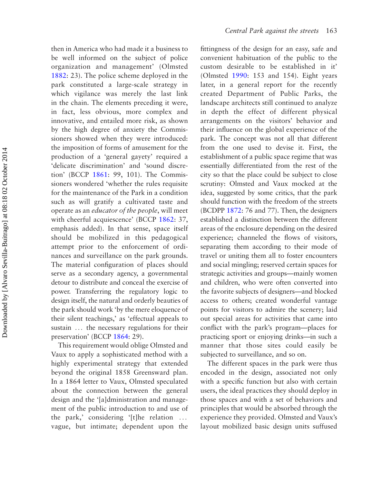then in America who had made it a business to be well informed on the subject of police organization and management' (Olmsted [1882:](#page-20-22) 23). The police scheme deployed in the park constituted a large-scale strategy in which vigilance was merely the last link in the chain. The elements preceding it were, in fact, less obvious, more complex and innovative, and entailed more risk, as shown by the high degree of anxiety the Commissioners showed when they were introduced: the imposition of forms of amusement for the production of a 'general gayety' required a 'delicate discrimination' and 'sound discretion' (BCCP [1861](#page-18-25): 99, 101). The Commissioners wondered 'whether the rules requisite for the maintenance of the Park in a condition such as will gratify a cultivated taste and operate as an educator of the people, will meet with cheerful acquiescence' (BCCP [1862:](#page-18-26) 37, emphasis added). In that sense, space itself should be mobilized in this pedagogical attempt prior to the enforcement of ordinances and surveillance on the park grounds. The material configuration of places should serve as a secondary agency, a governmental detour to distribute and conceal the exercise of power. Transferring the regulatory logic to design itself, the natural and orderly beauties of the park should work 'by the mere eloquence of their silent teachings,' as 'effectual appeals to sustain ... the necessary regulations for their preservation' (BCCP [1864:](#page-18-20) 29).

This requirement would oblige Olmsted and Vaux to apply a sophisticated method with a highly experimental strategy that extended beyond the original 1858 Greensward plan. In a 1864 letter to Vaux, Olmsted speculated about the connection between the general design and the '[a]dministration and management of the public introduction to and use of the park,' considering '[t]he relation ... vague, but intimate; dependent upon the fittingness of the design for an easy, safe and convenient habituation of the public to the custom desirable to be established in it' (Olmsted [1990](#page-20-21): 153 and 154). Eight years later, in a general report for the recently created Department of Public Parks, the landscape architects still continued to analyze in depth the effect of different physical arrangements on the visitors' behavior and their influence on the global experience of the park. The concept was not all that different from the one used to devise it. First, the establishment of a public space regime that was essentially differentiated from the rest of the city so that the place could be subject to close scrutiny: Olmsted and Vaux mocked at the idea, suggested by some critics, that the park should function with the freedom of the streets (BCDPP [1872](#page-18-22): 76 and 77). Then, the designers established a distinction between the different areas of the enclosure depending on the desired experience; channeled the flows of visitors, separating them according to their mode of travel or uniting them all to foster encounters and social mingling; reserved certain spaces for strategic activities and groups—mainly women and children, who were often converted into the favorite subjects of designers—and blocked access to others; created wonderful vantage points for visitors to admire the scenery; laid out special areas for activities that came into conflict with the park's program—places for practicing sport or enjoying drinks—in such a manner that those sites could easily be subjected to surveillance, and so on.

The different spaces in the park were thus encoded in the design, associated not only with a specific function but also with certain users, the ideal practices they should deploy in those spaces and with a set of behaviors and principles that would be absorbed through the experience they provided. Olmsted and Vaux's layout mobilized basic design units suffused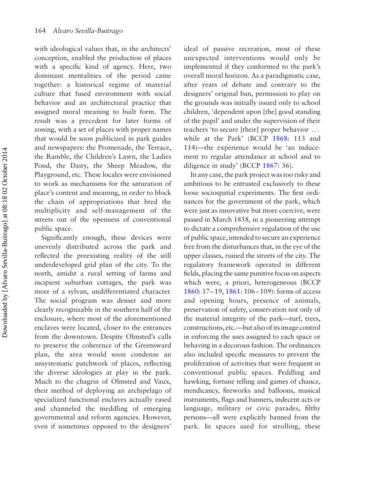with ideological values that, in the architects' conception, enabled the production of places with a specific kind of agency. Here, two dominant mentalities of the period came together: a historical regime of material culture that fused environment with social behavior and an architectural practice that assigned moral meaning to built form. The result was a precedent for later forms of zoning, with a set of places with proper names that would be soon publicized in park guides and newspapers: the Promenade, the Terrace, the Ramble, the Children's Lawn, the Ladies Pond, the Dairy, the Sheep Meadow, the Playground, etc. These locales were envisioned to work as mechanisms for the saturation of place's content and meaning, in order to block the chain of appropriations that bred the multiplicity and self-management of the streets out of the openness of conventional public space.

Significantly enough, these devices were unevenly distributed across the park and reflected the preexisting reality of the still underdeveloped grid plan of the city. To the north, amidst a rural setting of farms and incipient suburban cottages, the park was more of a sylvan, undifferentiated character. The social program was denser and more clearly recognizable in the southern half of the enclosure, where most of the aforementioned enclaves were located, closer to the entrances from the downtown. Despite Olmsted's calls to preserve the coherence of the Greensward plan, the area would soon condense an unsystematic patchwork of places, reflecting the diverse ideologies at play in the park. Much to the chagrin of Olmsted and Vaux, their method of deploying an archipelago of specialized functional enclaves actually eased and channeled the meddling of emerging governmental and reform agencies. However, even if sometimes opposed to the designers'

ideal of passive recreation, most of these unexpected interventions would only be implemented if they conformed to the park's overall moral horizon. As a paradigmatic case, after years of debate and contrary to the designers' original ban, permission to play on the grounds was initially issued only to school children, 'dependent upon [the] good standing of the pupil' and under the supervision of their teachers 'to secure [their] proper behavior ... while at the Park' (BCCP [1868](#page-18-27): 113 and 114)—the experience would be 'an inducement to regular attendance at school and to diligence in study' (BCCP [1867](#page-18-23): 36).

In any case, the park project was too risky and ambitious to be entrusted exclusively to these loose sociospatial experiments. The first ordinances for the government of the park, which were just as innovative but more coercive, were passed in March 1858, in a pioneering attempt to dictate a comprehensive regulation of the use of public space, intended to secure an experience free from the disturbances that, in the eye of the upper classes, ruined the streets of the city. The regulatory framework operated in different fields, placing the same punitive focus on aspects which were, a priori, heterogeneous (BCCP [1860](#page-18-28): 17–19, [1861:](#page-18-25) 106–109): forms of access and opening hours, presence of animals, preservation of safety, conservation not only of the material integrity of the park—turf, trees, constructions, etc.—but also of its image control in enforcing the uses assigned to each space or behaving in a decorous fashion. The ordinances also included specific measures to prevent the proliferation of activities that were frequent in conventional public spaces. Peddling and hawking, fortune telling and games of chance, mendicancy, fireworks and balloons, musical instruments, flags and banners, indecent acts or language, military or civic parades, filthy persons—all were explicitly banned from the park. In spaces used for strolling, these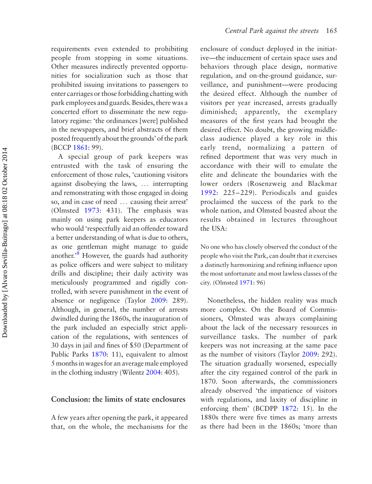requirements even extended to prohibiting people from stopping in some situations. Other measures indirectly prevented opportunities for socialization such as those that prohibited issuing invitations to passengers to enter carriages or those forbidding chatting with park employees and guards. Besides, there was a concerted effort to disseminate the new regulatory regime: 'the ordinances [were] published in the newspapers, and brief abstracts of them posted frequently about the grounds' of the park (BCCP [1861:](#page-18-25) 99).

A special group of park keepers was entrusted with the task of ensuring the enforcement of those rules, 'cautioning visitors against disobeying the laws, ... interrupting and remonstrating with those engaged in doing so, and in case of need ... causing their arrest' (Olmsted [1973](#page-20-23): 431). The emphasis was mainly on using park keepers as educators who would 'respectfully aid an offender toward a better understanding of what is due to others, as one gentleman might manage to guide another.'[8](#page-18-29) However, the guards had authority as police officers and were subject to military drills and discipline; their daily activity was meticulously programmed and rigidly controlled, with severe punishment in the event of absence or negligence (Taylor [2009](#page-20-24): 289). Although, in general, the number of arrests dwindled during the 1860s, the inauguration of the park included an especially strict application of the regulations, with sentences of 30 days in jail and fines of \$50 (Department of Public Parks [1870](#page-18-30): 11), equivalent to almost 5 months in wages for an averagemale employed in the clothing industry (Wilentz [2004:](#page-20-11) 405).

#### Conclusion: the limits of state enclosures

A few years after opening the park, it appeared that, on the whole, the mechanisms for the enclosure of conduct deployed in the initiative—the inducement of certain space uses and behaviors through place design, normative regulation, and on-the-ground guidance, surveillance, and punishment—were producing the desired effect. Although the number of visitors per year increased, arrests gradually diminished; apparently, the exemplary measures of the first years had brought the desired effect. No doubt, the growing middleclass audience played a key role in this early trend, normalizing a pattern of refined deportment that was very much in accordance with their will to emulate the elite and delineate the boundaries with the lower orders (Rosenzweig and Blackmar [1992:](#page-20-2) 225 –229). Periodicals and guides proclaimed the success of the park to the whole nation, and Olmsted boasted about the results obtained in lectures throughout the USA:

No one who has closely observed the conduct of the people who visit the Park, can doubt that it exercises a distinctly harmonizing and refining influence upon the most unfortunate and most lawless classes of the city. (Olmsted [1971:](#page-20-19) 96)

Nonetheless, the hidden reality was much more complex. On the Board of Commissioners, Olmsted was always complaining about the lack of the necessary resources in surveillance tasks. The number of park keepers was not increasing at the same pace as the number of visitors (Taylor [2009](#page-20-24): 292). The situation gradually worsened, especially after the city regained control of the park in 1870. Soon afterwards, the commissioners already observed 'the impatience of visitors with regulations, and laxity of discipline in enforcing them' (BCDPP [1872:](#page-18-22) 15). In the 1880s there were five times as many arrests as there had been in the 1860s; 'more than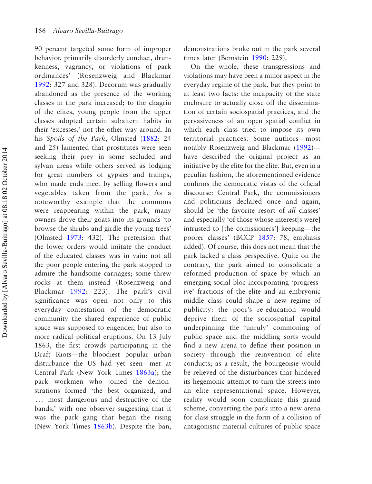90 percent targeted some form of improper behavior, primarily disorderly conduct, drunkenness, vagrancy, or violations of park ordinances' (Rosenzweig and Blackmar [1992:](#page-20-2) 327 and 328). Decorum was gradually abandoned as the presence of the working classes in the park increased; to the chagrin of the elites, young people from the upper classes adopted certain subaltern habits in their 'excesses,' not the other way around. In his Spoils of the Park, Olmsted ([1882:](#page-20-22) 24 and 25) lamented that prostitutes were seen seeking their prey in some secluded and sylvan areas while others served as lodging for great numbers of gypsies and tramps, who made ends meet by selling flowers and vegetables taken from the park. As a noteworthy example that the commons were reappearing within the park, many owners drove their goats into its grounds 'to browse the shrubs and girdle the young trees' (Olmsted [1973:](#page-20-23) 432). The pretension that the lower orders would imitate the conduct of the educated classes was in vain: not all the poor people entering the park stopped to admire the handsome carriages; some threw rocks at them instead (Rosenzweig and Blackmar [1992:](#page-20-2) 223). The park's civil significance was open not only to this everyday contestation of the democratic community the shared experience of public space was supposed to engender, but also to more radical political eruptions. On 13 July 1863, the first crowds participating in the Draft Riots—the bloodiest popular urban disturbance the US had yet seen—met at Central Park (New York Times [1863a\)](#page-19-32); the park workmen who joined the demonstrations formed 'the best organized, and ... most dangerous and destructive of the bands,' with one observer suggesting that it was the park gang that began the rising (New York Times [1863b](#page-19-33)). Despite the ban,

demonstrations broke out in the park several times later (Bernstein [1990](#page-18-19): 229).

On the whole, these transgressions and violations may have been a minor aspect in the everyday regime of the park, but they point to at least two facts: the incapacity of the state enclosure to actually close off the dissemination of certain sociospatial practices, and the pervasiveness of an open spatial conflict in which each class tried to impose its own territorial practices. Some authors—most notably Rosenzweig and Blackmar ([1992\)](#page-20-2) have described the original project as an initiative by the elite for the elite. But, even in a peculiar fashion, the aforementioned evidence confirms the democratic vistas of the official discourse: Central Park, the commissioners and politicians declared once and again, should be 'the favorite resort of all classes' and especially 'of those whose interest[s were] intrusted to [the comissioners'] keeping—the poorer classes' (BCCP [1857](#page-18-31): 78, emphasis added). Of course, this does not mean that the park lacked a class perspective. Quite on the contrary, the park aimed to consolidate a reformed production of space by which an emerging social bloc incorporating 'progressive' fractions of the elite and an embryonic middle class could shape a new regime of publicity: the poor's re-education would deprive them of the sociospatial capital underpinning the 'unruly' commoning of public space and the middling sorts would find a new arena to define their position in society through the reinvention of elite conducts; as a result, the bourgeoisie would be relieved of the disturbances that hindered its hegemonic attempt to turn the streets into an elite representational space. However, reality would soon complicate this grand scheme, converting the park into a new arena for class struggle in the form of a collision of antagonistic material cultures of public space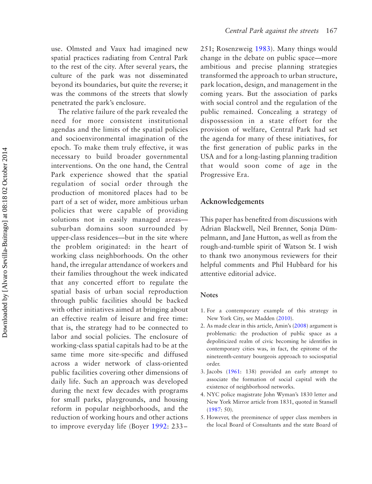use. Olmsted and Vaux had imagined new spatial practices radiating from Central Park to the rest of the city. After several years, the culture of the park was not disseminated beyond its boundaries, but quite the reverse; it was the commons of the streets that slowly penetrated the park's enclosure.

The relative failure of the park revealed the need for more consistent institutional agendas and the limits of the spatial policies and socioenvironmental imagination of the epoch. To make them truly effective, it was necessary to build broader governmental interventions. On the one hand, the Central Park experience showed that the spatial regulation of social order through the production of monitored places had to be part of a set of wider, more ambitious urban policies that were capable of providing solutions not in easily managed areas suburban domains soon surrounded by upper-class residences—but in the site where the problem originated: in the heart of working class neighborhoods. On the other hand, the irregular attendance of workers and their families throughout the week indicated that any concerted effort to regulate the spatial basis of urban social reproduction through public facilities should be backed with other initiatives aimed at bringing about an effective realm of leisure and free time: that is, the strategy had to be connected to labor and social policies. The enclosure of working-class spatial capitals had to be at the same time more site-specific and diffused across a wider network of class-oriented public facilities covering other dimensions of daily life. Such an approach was developed during the next few decades with programs for small parks, playgrounds, and housing reform in popular neighborhoods, and the reduction of working hours and other actions to improve everyday life (Boyer [1992:](#page-18-3) 233 –

251; Rosenzweig [1983\)](#page-20-25). Many things would change in the debate on public space—more ambitious and precise planning strategies transformed the approach to urban structure, park location, design, and management in the coming years. But the association of parks with social control and the regulation of the public remained. Concealing a strategy of dispossession in a state effort for the provision of welfare, Central Park had set the agenda for many of these initiatives, for the first generation of public parks in the USA and for a long-lasting planning tradition that would soon come of age in the Progressive Era.

### Acknowledgements

This paper has benefited from discussions with Adrian Blackwell, Neil Brenner, Sonja Dümpelmann, and Jane Hutton, as well as from the rough-and-tumble spirit of Watson St. I wish to thank two anonymous reviewers for their helpful comments and Phil Hubbard for his attentive editorial advice.

#### Notes

- <span id="page-17-0"></span>1. For a contemporary example of this strategy in New York City, see Madden ([2010](#page-19-34)).
- <span id="page-17-1"></span>2. As made clear in this article, Amin's [\(2008\)](#page-18-7) argument is problematic: the production of public space as a depoliticized realm of civic becoming he identifies in contemporary cities was, in fact, the epitome of the nineteenth-century bourgeois approach to sociospatial order.
- <span id="page-17-2"></span>3. Jacobs [\(1961](#page-19-35): 138) provided an early attempt to associate the formation of social capital with the existence of neighborhood networks.
- <span id="page-17-3"></span>4. NYC police magistrate John Wyman's 1830 letter and New York Mirror article from 1831, quoted in Stansell ([1987](#page-20-16): 50).
- <span id="page-17-4"></span>5. However, the preeminence of upper class members in the local Board of Consultants and the state Board of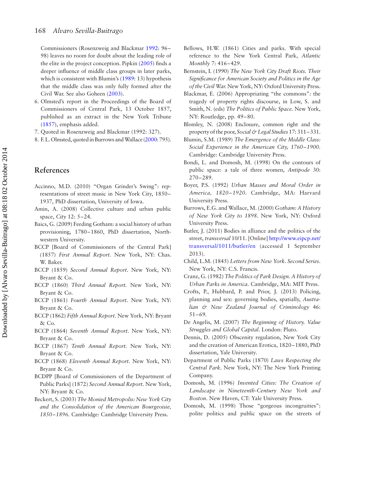Commissioners (Rosenzweig and Blackmar [1992:](#page-20-2) 96– 98) leaves no room for doubt about the leading role of the elite in the project conception. Pipkin ([2005](#page-20-26)) finds a deeper influence of middle class groups in later parks, which is consistent with Blumin's ([1989](#page-18-32): 13) hypothesis that the middle class was only fully formed after the Civil War. See also Goheen ([2003](#page-19-36)).

- <span id="page-18-21"></span>6. Olmsted's report in the Proceedings of the Board of Commissioners of Central Park, 13 October 1857, published as an extract in the New York Tribune [\(1857\)](#page-19-37), emphasis added.
- <span id="page-18-24"></span>7. Quoted in Rosenzweig and Blackmar (1992: 327).
- <span id="page-18-29"></span>8. F.L. Olmsted, quoted in Burrows and Wallace [\(2000](#page-18-9): 795).

#### References

- <span id="page-18-17"></span>Accinno, M.D. (2010) "Organ Grinder's Swing": representations of street music in New York City, 1850– 1937, PhD dissertation, University of Iowa.
- <span id="page-18-7"></span>Amin, A. (2008) Collective culture and urban public space, City 12: 5–24.
- <span id="page-18-10"></span>Baics, G. (2009) Feeding Gotham: a social history of urban provisioning, 1780–1860, PhD dissertation, Northwestern University.
- <span id="page-18-31"></span>BCCP [Board of Commissioners of the Central Park] (1857) First Annual Report. New York, NY: Chas. W. Baker.
- <span id="page-18-2"></span>BCCP (1859) Second Annual Report. New York, NY: Bryant & Co.
- <span id="page-18-28"></span>BCCP (1860) Third Annual Report. New York, NY: Bryant & Co.
- <span id="page-18-25"></span>BCCP (1861) Fourth Annual Report. New York, NY: Bryant & Co.
- <span id="page-18-26"></span>BCCP (1862) Fifth Annual Report. New York, NY: Bryant & Co.
- <span id="page-18-20"></span>BCCP (1864) Seventh Annual Report. New York, NY: Bryant & Co.
- <span id="page-18-23"></span>BCCP (1867) Tenth Annual Report. New York, NY: Bryant & Co.
- <span id="page-18-27"></span>BCCP (1868) Eleventh Annual Report. New York, NY: Bryant & Co.
- <span id="page-18-22"></span>BCDPP [Board of Commissioners of the Department of Public Parks] (1872) Second Annual Report. New York, NY: Bryant & Co.
- <span id="page-18-13"></span>Beckert, S. (2003) The Monied Metropolis: New York City and the Consolidation of the American Bourgeoisie, 1850–1896. Cambridge: Cambridge University Press.
- <span id="page-18-16"></span>Bellows, H.W. (1861) Cities and parks. With special reference to the New York Central Park, Atlantic Monthly 7: 416–429.
- <span id="page-18-19"></span>Bernstein, I. (1990) The New York City Draft Riots. Their Significance for American Society and Politics in the Age of the Civil War. New York, NY: Oxford University Press.
- <span id="page-18-0"></span>Blackmar, E. (2006) Appropriating "the commons": the tragedy of property rights discourse, in Low, S. and Smith, N. (eds) The Politics of Public Space. New York, NY: Routledge, pp. 49–80.
- <span id="page-18-4"></span>Blomley, N. (2008) Enclosure, common right and the property of the poor, Social & Legal Studies 17: 311-331.
- <span id="page-18-32"></span>Blumin, S.M. (1989) The Emergence of the Middle Class: Social Experience in the American City, 1760–1900. Cambridge: Cambridge University Press.
- <span id="page-18-11"></span>Bondi, L. and Domosh, M. (1998) On the contours of public space: a tale of three women, Antipode 30: 270–289.
- <span id="page-18-3"></span>Boyer, P.S. (1992) Urban Masses and Moral Order in America, 1820-1920. Cambridge, MA: Harvard University Press.
- <span id="page-18-9"></span>Burrows, E.G. and Wallace, M. (2000) Gotham: A History of New York City to 1898. New York, NY: Oxford University Press.
- <span id="page-18-6"></span>Butler, L (2011) Bodies in alliance and the politics of the street, transversal 10/11. [Online] http://www.eipcp.net/ transversal/1011/butler/en (accessed 1 September 2013).
- <span id="page-18-15"></span>Child, L.M. (1845) Letters from New York. Second Series. New York, NY: C.S. Francis.
- <span id="page-18-1"></span>Cranz, G. (1982) The Politics of Park Design. A History of Urban Parks in America. Cambridge, MA: MIT Press.
- <span id="page-18-8"></span>Crofts, P., Hubbard, P. and Prior, J. (2013) Policing, planning and sex: governing bodies, spatially, Australian & New Zealand Journal of Criminology 46: 51–69.
- <span id="page-18-5"></span>De Angelis, M. (2007) The Beginning of History. Value Struggles and Global Capital. London: Pluto.
- <span id="page-18-18"></span>Dennis, D. (2005) Obscenity regulation, New York City and the creation of American Erotica, 1820–1880, PhD dissertation, Yale University.
- <span id="page-18-30"></span>Department of Public Parks (1870) Laws Respecting the Central Park. New York, NY: The New York Printing Company.
- <span id="page-18-12"></span>Domosh, M. (1996) Invented Cities: The Creation of Landscape in Nineteenth-Century New York and Boston. New Haven, CT: Yale University Press.
- <span id="page-18-14"></span>Domosh, M. (1998) Those "gorgeous incongruities": polite politics and public space on the streets of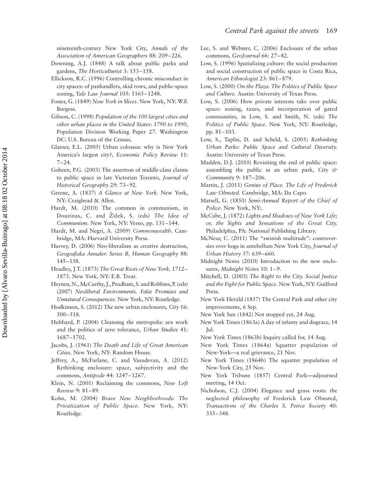nineteenth-century New York City, Annals of the Association of American Geographers 88: 209–226.

- <span id="page-19-31"></span>Downing, A.J. (1848) A talk about public parks and gardens, The Horticulturist 3: 153-158.
- <span id="page-19-12"></span>Ellickson, R.C. (1996) Controlling chronic misconduct in city spaces: of panhandlers, skid rows, and public-space zoning, Yale Law Journal 105: 1165–1248.
- <span id="page-19-20"></span>Foster, G. (1849) New York in Slices. New York, NY: W.F. Burgess.
- <span id="page-19-18"></span>Gibson, C. (1998) Population of the 100 largest cities and other urban places in the United States: 1790 to 1990, Population Division Working Paper 27. Washington DC: U.S. Bureau of the Census.
- <span id="page-19-17"></span>Glaeser, E.L. (2005) Urban colossus: why is New York America's largest city?, Economic Policy Review 11:  $7 - 24.$
- <span id="page-19-36"></span>Goheen, P.G. (2003) The assertion of middle-class claims to public space in late Victorian Toronto, Journal of Historical Geography 29: 73–92.
- <span id="page-19-21"></span>Greene, A. (1837) A Glance at New York. New York, NY: Craighead & Allen.
- <span id="page-19-10"></span>Hardt, M. (2010) The common in communism, in Douzinas, C. and Žižek, S. (eds) The Idea of Communism. New York, NY: Verso, pp. 131–144.
- <span id="page-19-0"></span>Hardt, M. and Negri, A. (2009) Commonwealth. Cambridge, MA: Harvard University Press.
- <span id="page-19-8"></span>Harvey, D. (2006) Neo-liberalism as creative destruction, Geografiska Annaler: Series B, Human Geography 88: 145–158.
- <span id="page-19-19"></span>Headley, J.T. (1873) The Great Riots of New York, 1712– 1873. New York, NY: E.B. Treat.
- <span id="page-19-9"></span>Heynen, N., McCarthy, J., Prudham, S. and Robbins, P. (eds) (2007) Neoliberal Environments. False Promises and Unnatural Consequences. New York, NY: Routledge.
- <span id="page-19-3"></span>Hodkinson, S. (2012) The new urban enclosures, City 16: 500–518.
- <span id="page-19-13"></span>Hubbard, P. (2004) Cleansing the metropolis: sex work and the politics of zero tolerance, Urban Studies 41: 1687–1702.
- <span id="page-19-35"></span>Jacobs, J. (1961) The Death and Life of Great American Cities. New York, NY: Random House.
- <span id="page-19-4"></span>Jeffrey, A., McFarlane, C. and Vasudevan, A. (2012) Rethinking enclosure: space, subjectivity and the commons, Antipode 44: 1247–1267.
- <span id="page-19-1"></span>Klein, N. (2001) Reclaiming the commons, New Left Review 9: 81–89.
- <span id="page-19-5"></span>Kohn, M. (2004) Brave New Neighborhoods: The Privatization of Public Space. New York, NY: Routledge.
- <span id="page-19-6"></span>Lee, S. and Webster, C. (2006) Enclosure of the urban commons, GeoJournal 66: 27–42.
- <span id="page-19-11"></span>Low, S. (1996) Spatializing culture: the social production and social construction of public space in Costa Rica, American Ethnologist 23: 861–879.
- <span id="page-19-14"></span>Low, S. (2000) On the Plaza: The Politics of Public Space and Culture. Austin: University of Texas Press.
- <span id="page-19-7"></span>Low, S. (2006) How private interests take over public space: zoning, taxes, and incorporation of gated communities, in Low, S. and Smith, N. (eds) The Politics of Public Space. New York, NY: Routledge, pp. 81–103.
- <span id="page-19-15"></span>Low, S., Taplin, D. and Scheld, S. (2005) Rethinking Urban Parks: Public Space and Cultural Diversity. Austin: University of Texas Press.
- <span id="page-19-34"></span>Madden, D.J. (2010) Revisiting the end of public space: assembling the public in an urban park, City  $\phi$ Community 9: 187-206.
- <span id="page-19-30"></span>Martin, J. (2011) Genius of Place. The Life of Frederick Law Olmsted. Cambridge, MA: Da Capo.
- <span id="page-19-23"></span>Matsell, G. (1850) Semi-Annual Report of the Chief of Police. New York, NY:.
- <span id="page-19-22"></span>McCabe, J. (1872) Lights and Shadows of New York Life; or, the Sights and Sensations of the Great City. Philadelphia, PA: National Publishing Library.
- <span id="page-19-25"></span>McNeur, C. (2011) The "swinish multitude": controversies over hogs in antebellum New York City, Journal of Urban History 37: 639–660.
- <span id="page-19-2"></span>Midnight Notes (2010) Introduction to the new enclosures, Midnight Notes 10: 1-9.
- <span id="page-19-16"></span>Mitchell, D. (2003) The Right to the City. Social Justice and the Fight for Public Space. New York, NY: Guilford Press.
- <span id="page-19-29"></span>New York Herald (1857) The Central Park and other city improvements, 6 Sep.
- <span id="page-19-24"></span>New York Sun (1842) Not stopped yet, 24 Aug.
- <span id="page-19-32"></span>New York Times (1863a) A day of infamy and disgrace, 14 Jul.
- <span id="page-19-33"></span>New York Times (1863b) Inquiry called for, 14 Aug.
- <span id="page-19-26"></span>New York Times (1864a) Squatter population of New-York—a real grievance, 21 Nov.
- <span id="page-19-27"></span>New York Times (1864b) The squatter population of New-York City, 25 Nov.
- <span id="page-19-37"></span>New York Tribune (1857) Central Park—adjourned meeting, 14 Oct.
- <span id="page-19-28"></span>Nicholson, C.J. (2004) Elegance and grass roots: the neglected philosophy of Frederick Law Olmsted, Transactions of the Charles S. Peirce Society 40: 335 –348.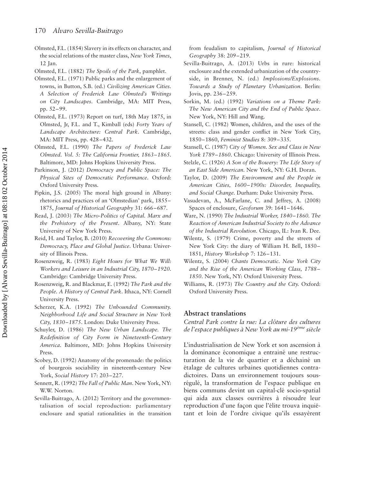- <span id="page-20-20"></span>Olmsted, F.L. (1854) Slavery in its effects on character, and the social relations of the master class, New York Times, 12 Jan.
- <span id="page-20-22"></span>Olmsted, F.L. (1882) The Spoils of the Park, pamphlet.
- <span id="page-20-19"></span>Olmsted, F.L. (1971) Public parks and the enlargement of towns, in Button, S.B. (ed.) Civilizing American Cities. A Selection of Frederick Law Olmsted's Writings on City Landscapes. Cambridge, MA: MIT Press, pp. 52–99.
- <span id="page-20-23"></span>Olmsted, F.L. (1973) Report on turf, 18th May 1875, in Olmsted, Jr, F.L. and T., Kimball (eds) Forty Years of Landscape Architecture: Central Park. Cambridge, MA: MIT Press, pp. 428–432.
- <span id="page-20-21"></span>Olmsted, F.L. (1990) The Papers of Frederick Law Olmsted. Vol. 5: The California Frontier, 1863–1865. Baltimore, MD: Johns Hopkins University Press.
- <span id="page-20-9"></span>Parkinson, J. (2012) Democracy and Public Space: The Physical Sites of Democratic Performance. Oxford: Oxford University Press.
- <span id="page-20-26"></span>Pipkin, J.S. (2005) The moral high ground in Albany: rhetorics and practices of an 'Olmstedian' park, 1855– 1875, Journal of Historical Geography 31: 666–687.
- <span id="page-20-8"></span>Read, J. (2003) The Micro-Politics of Capital. Marx and the Prehistory of the Present. Albany, NY: State University of New York Press.
- <span id="page-20-0"></span>Reid, H. and Taylor, B. (2010) Recovering the Commons: Democracy, Place and Global Justice. Urbana: University of Illinois Press.
- <span id="page-20-25"></span>Rosenzweig, R. (1983) Eight Hours for What We Will: Workers and Leisure in an Industrial City, 1870–1920. Cambridge: Cambridge University Press.
- <span id="page-20-2"></span>Rosenzweig, R. and Blackmar, E. (1992) The Park and the People. A History of Central Park. Ithaca, NY: Cornell University Press.
- <span id="page-20-13"></span>Scherzer, K.A. (1992) The Unbounded Community. Neighborhood Life and Social Structure in New York City, 1830–1875. London: Duke University Press.
- <span id="page-20-3"></span>Schuyler, D. (1986) The New Urban Landscape. The Redefinition of City Form in Nineteenth-Century America. Baltimore, MD: Johns Hopkins University Press.
- <span id="page-20-12"></span>Scobey, D. (1992) Anatomy of the promenade: the politics of bourgeois sociability in nineteenth-century New York, Social History 17: 203-227.
- <span id="page-20-4"></span>Sennett, R. (1992) The Fall of Public Man. New York, NY: W.W. Norton.
- <span id="page-20-6"></span>Sevilla-Buitrago, A. (2012) Territory and the governmentalisation of social reproduction: parliamentary enclosure and spatial rationalities in the transition

from feudalism to capitalism, Journal of Historical Geography 38: 209–219.

- <span id="page-20-7"></span>Sevilla-Buitrago, A. (2013) Urbs in rure: historical enclosure and the extended urbanization of the countryside, in Brenner, N. (ed.) Implosions/Explosions. Towards a Study of Planetary Urbanization. Berlin: Jovis, pp. 236–259.
- <span id="page-20-5"></span>Sorkin, M. (ed.) (1992) Variations on a Theme Park: The New American City and the End of Public Space. New York, NY: Hill and Wang.
- <span id="page-20-14"></span>Stansell, C. (1982) Women, children, and the uses of the streets: class and gender conflict in New York City, 1850–1860, Feminist Studies 8: 309–335.
- <span id="page-20-16"></span>Stansell, C. (1987) City of Women. Sex and Class in New York 1789-1860. Chicago: University of Illinois Press.
- <span id="page-20-17"></span>Stelzle, C. (1926) A Son of the Bowery: The Life Story of an East Side American. New York, NY: G.H. Doran.
- <span id="page-20-24"></span>Taylor, D. (2009) The Environment and the People in American Cities, 1600–1900s: Disorder, Inequality, and Social Change. Durham: Duke University Press.
- <span id="page-20-1"></span>Vasudevan, A., McFarlane, C. and Jeffrey, A. (2008) Spaces of enclosure, Geoforum 39: 1641–1646.
- <span id="page-20-18"></span>Ware, N. (1990) The Industrial Worker, 1840–1860. The Reaction of American Industrial Society to the Advance of the Industrial Revolution. Chicago, IL: Ivan R. Dee.
- <span id="page-20-15"></span>Wilentz, S. (1979) Crime, poverty and the streets of New York City: the diary of William H. Bell, 1850– 1851, History Workshop 7: 126–131.
- <span id="page-20-11"></span>Wilentz, S. (2004) Chants Democratic. New York City and the Rise of the American Working Class, 1788– 1850. New York, NY: Oxford University Press.
- <span id="page-20-10"></span>Williams, R. (1973) The Country and the City. Oxford: Oxford University Press.

#### Abstract translations

Central Park contre la rue: La clôture des cultures de l'espace publiques à New York au mi-19<sup>ème</sup> siècle

L'industrialisation de New York et son ascension a` la dominance économique a entrainé une restructuration de la vie de quartier et a déchainé un étalage de cultures urbaines quotidiennes contradictoires. Dans un environnement toujours sousrégulé, la transformation de l'espace publique en biens communs devint un capital-clé socio-spatial qui aida aux classes ouvrières à résoudre leur reproduction d'une façon que l'élite trouva inquiétant et loin de l'ordre civique qu'ils essayèrent